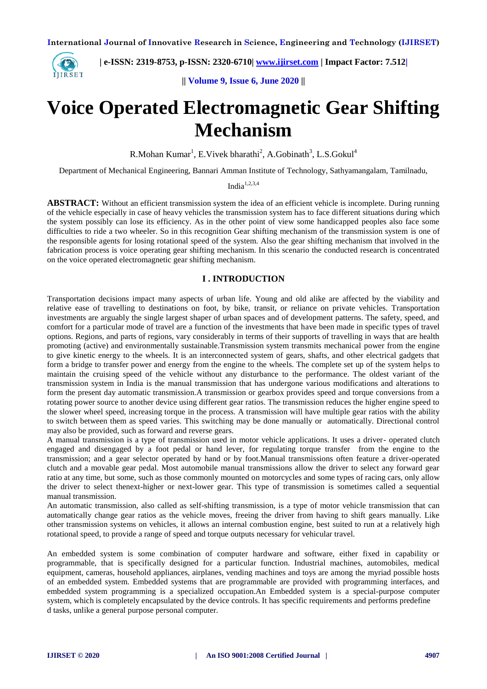

 **| e-ISSN: 2319-8753, p-ISSN: 2320-6710| [www.ijirset.com](http://www.ijirset.com/) | Impact Factor: 7.512|**

**|| Volume 9, Issue 6, June 2020 ||** 

# **Voice Operated Electromagnetic Gear Shifting Mechanism**

R.Mohan  $Kumar<sup>1</sup>$ , E.Vivek bharathi<sup>2</sup>, A.Gobinath<sup>3</sup>, L.S.Gokul<sup>4</sup>

Department of Mechanical Engineering, Bannari Amman Institute of Technology, Sathyamangalam, Tamilnadu,

India $1,2,3,4$ 

**ABSTRACT:** Without an efficient transmission system the idea of an efficient vehicle is incomplete. During running of the vehicle especially in case of heavy vehicles the transmission system has to face different situations during which the system possibly can lose its efficiency. As in the other point of view some handicapped peoples also face some difficulties to ride a two wheeler. So in this recognition Gear shifting mechanism of the transmission system is one of the responsible agents for losing rotational speed of the system. Also the gear shifting mechanism that involved in the fabrication process is voice operating gear shifting mechanism. In this scenario the conducted research is concentrated on the voice operated electromagnetic gear shifting mechanism.

# **I . INTRODUCTION**

Transportation decisions impact many aspects of urban life. Young and old alike are affected by the viability and relative ease of travelling to destinations on foot, by bike, transit, or reliance on private vehicles. Transportation investments are arguably the single largest shaper of urban spaces and of development patterns. The safety, speed, and comfort for a particular mode of travel are a function of the investments that have been made in specific types of travel options. Regions, and parts of regions, vary considerably in terms of their supports of travelling in ways that are health promoting (active) and environmentally sustainable.Transmission system transmits mechanical power from the engine to give kinetic energy to the wheels. It is an interconnected system of gears, shafts, and other electrical gadgets that form a bridge to transfer power and energy from the engine to the wheels. The complete set up of the system helps to maintain the cruising speed of the vehicle without any disturbance to the performance. The oldest variant of the transmission system in India is the manual transmission that has undergone various modifications and alterations to form the present day automatic transmission.A transmission or gearbox provides speed and torque conversions from a rotating power source to another device using different gear ratios. The transmission reduces the higher engine speed to the slower wheel speed, increasing torque in the process. A transmission will have multiple gear ratios with the ability to switch between them as speed varies. This switching may be done manually or automatically. Directional control may also be provided, such as forward and reverse gears.

A manual transmission is a type of transmission used in motor vehicle applications. It uses a driver- operated clutch engaged and disengaged by a foot pedal or hand lever, for regulating torque transfer from the engine to the transmission; and a gear selector operated by hand or by foot.Manual transmissions often feature a driver-operated clutch and a movable gear pedal. Most automobile manual transmissions allow the driver to select any forward gear ratio at any time, but some, such as those commonly mounted on motorcycles and some types of racing cars, only allow the driver to select thenext-higher or next-lower gear. This type of transmission is sometimes called a sequential manual transmission.

An automatic transmission, also called as self-shifting transmission, is a type of motor vehicle transmission that can automatically change gear ratios as the vehicle moves, freeing the driver from having to shift gears manually. Like other transmission systems on vehicles, it allows an internal combustion engine, best suited to run at a relatively high rotational speed, to provide a range of speed and torque outputs necessary for vehicular travel.

An embedded system is some combination of computer hardware and software, either fixed in capability or programmable, that is specifically designed for a particular function. Industrial machines, automobiles, medical equipment, cameras, household appliances, airplanes, vending machines and toys are among the myriad possible hosts of an embedded system. Embedded systems that are programmable are provided with programming interfaces, and embedded system programming is a specialized occupation.An Embedded system is a special-purpose computer system, which is completely encapsulated by the device controls. It has specific requirements and performs predefine d tasks, unlike a general purpose personal computer.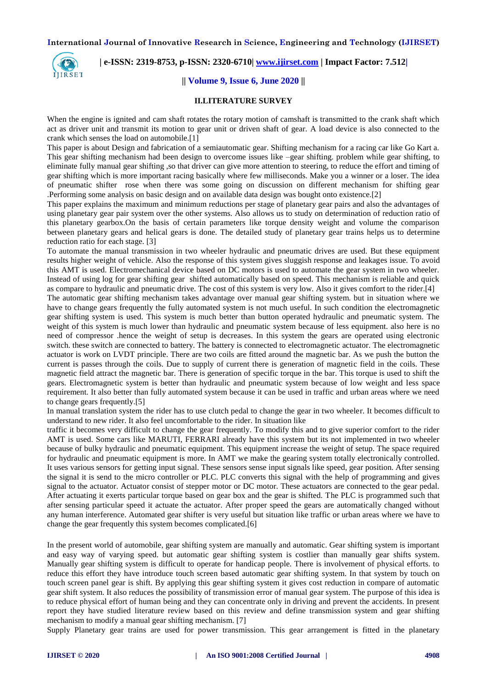

 **| e-ISSN: 2319-8753, p-ISSN: 2320-6710| [www.ijirset.com](http://www.ijirset.com/) | Impact Factor: 7.512|**

#### **|| Volume 9, Issue 6, June 2020 ||**

#### **II.LITERATURE SURVEY**

When the engine is ignited and cam shaft rotates the rotary motion of camshaft is transmitted to the crank shaft which act as driver unit and transmit its motion to gear unit or driven shaft of gear. A load device is also connected to the crank which senses the load on automobile.[1]

This paper is about Design and fabrication of a semiautomatic gear. Shifting mechanism for a racing car like Go Kart a. This gear shifting mechanism had been design to overcome issues like –gear shifting. problem while gear shifting, to eliminate fully manual gear shifting ,so that driver can give more attention to steering, to reduce the effort and timing of gear shifting which is more important racing basically where few milliseconds. Make you a winner or a loser. The idea of pneumatic shifter rose when there was some going on discussion on different mechanism for shifting gear .Performing some analysis on basic design and on available data design was bought onto existence.[2]

This paper explains the maximum and minimum reductions per stage of planetary gear pairs and also the advantages of using planetary gear pair system over the other systems. Also allows us to study on determination of reduction ratio of this planetary gearbox.On the basis of certain parameters like torque density weight and volume the comparison between planetary gears and helical gears is done. The detailed study of planetary gear trains helps us to determine reduction ratio for each stage. [3]

To automate the manual transmission in two wheeler hydraulic and pneumatic drives are used. But these equipment results higher weight of vehicle. Also the response of this system gives sluggish response and leakages issue. To avoid this AMT is used. Electromechanical device based on DC motors is used to automate the gear system in two wheeler. Instead of using log for gear shifting gear shifted automatically based on speed. This mechanism is reliable and quick as compare to hydraulic and pneumatic drive. The cost of this system is very low. Also it gives comfort to the rider.[4]

The automatic gear shifting mechanism takes advantage over manual gear shifting system. but in situation where we have to change gears frequently the fully automated system is not much useful. In such condition the electromagnetic gear shifting system is used. This system is much better than button operated hydraulic and pneumatic system. The weight of this system is much lower than hydraulic and pneumatic system because of less equipment. also here is no need of compressor .hence the weight of setup is decreases. In this system the gears are operated using electronic switch. these switch are connected to battery. The battery is connected to electromagnetic actuator. The electromagnetic actuator is work on LVDT principle. There are two coils are fitted around the magnetic bar. As we push the button the current is passes through the coils. Due to supply of current there is generation of magnetic field in the coils. These magnetic field attract the magnetic bar. There is generation of specific torque in the bar. This torque is used to shift the gears. Electromagnetic system is better than hydraulic and pneumatic system because of low weight and less space requirement. It also better than fully automated system because it can be used in traffic and urban areas where we need to change gears frequently.[5]

In manual translation system the rider has to use clutch pedal to change the gear in two wheeler. It becomes difficult to understand to new rider. It also feel uncomfortable to the rider. In situation like

traffic it becomes very difficult to change the gear frequently. To modify this and to give superior comfort to the rider AMT is used. Some cars like MARUTI, FERRARI already have this system but its not implemented in two wheeler because of bulky hydraulic and pneumatic equipment. This equipment increase the weight of setup. The space required for hydraulic and pneumatic equipment is more. In AMT we make the gearing system totally electronically controlled. It uses various sensors for getting input signal. These sensors sense input signals like speed, gear position. After sensing the signal it is send to the micro controller or PLC. PLC converts this signal with the help of programming and gives signal to the actuator. Actuator consist of stepper motor or DC motor. These actuators are connected to the gear pedal. After actuating it exerts particular torque based on gear box and the gear is shifted. The PLC is programmed such that after sensing particular speed it actuate the actuator. After proper speed the gears are automatically changed without any human interference. Automated gear shifter is very useful but situation like traffic or urban areas where we have to change the gear frequently this system becomes complicated.[6]

In the present world of automobile, gear shifting system are manually and automatic. Gear shifting system is important and easy way of varying speed. but automatic gear shifting system is costlier than manually gear shifts system. Manually gear shifting system is difficult to operate for handicap people. There is involvement of physical efforts. to reduce this effort they have introduce touch screen based automatic gear shifting system. In that system by touch on touch screen panel gear is shift. By applying this gear shifting system it gives cost reduction in compare of automatic gear shift system. It also reduces the possibility of transmission error of manual gear system. The purpose of this idea is to reduce physical effort of human being and they can concentrate only in driving and prevent the accidents. In present report they have studied literature review based on this review and define transmission system and gear shifting mechanism to modify a manual gear shifting mechanism. [7]

Supply Planetary gear trains are used for power transmission. This gear arrangement is fitted in the planetary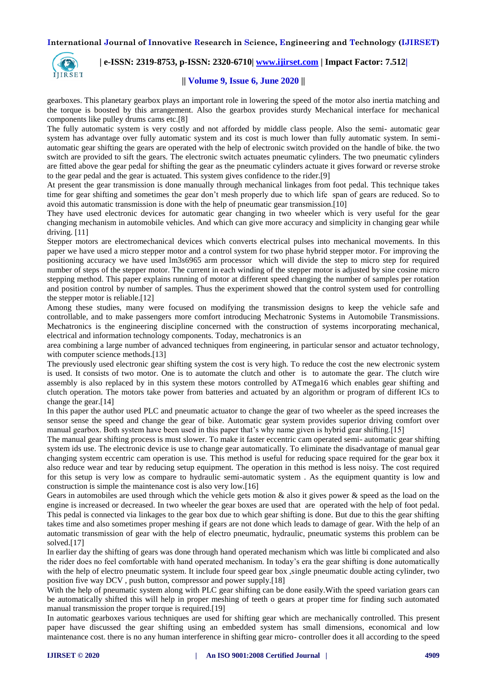

 **| e-ISSN: 2319-8753, p-ISSN: 2320-6710| [www.ijirset.com](http://www.ijirset.com/) | Impact Factor: 7.512|**

#### **|| Volume 9, Issue 6, June 2020 ||**

gearboxes. This planetary gearbox plays an important role in lowering the speed of the motor also inertia matching and the torque is boosted by this arrangement. Also the gearbox provides sturdy Mechanical interface for mechanical components like pulley drums cams etc.[8]

The fully automatic system is very costly and not afforded by middle class people. Also the semi- automatic gear system has advantage over fully automatic system and its cost is much lower than fully automatic system. In semiautomatic gear shifting the gears are operated with the help of electronic switch provided on the handle of bike. the two switch are provided to sift the gears. The electronic switch actuates pneumatic cylinders. The two pneumatic cylinders are fitted above the gear pedal for shifting the gear as the pneumatic cylinders actuate it gives forward or reverse stroke to the gear pedal and the gear is actuated. This system gives confidence to the rider.[9]

At present the gear transmission is done manually through mechanical linkages from foot pedal. This technique takes time for gear shifting and sometimes the gear don't mesh properly due to which life span of gears are reduced. So to avoid this automatic transmission is done with the help of pneumatic gear transmission.[10]

They have used electronic devices for automatic gear changing in two wheeler which is very useful for the gear changing mechanism in automobile vehicles. And which can give more accuracy and simplicity in changing gear while driving. [11]

Stepper motors are electromechanical devices which converts electrical pulses into mechanical movements. In this paper we have used a micro stepper motor and a control system for two phase hybrid stepper motor. For improving the positioning accuracy we have used lm3s6965 arm processor which will divide the step to micro step for required number of steps of the stepper motor. The current in each winding of the stepper motor is adjusted by sine cosine micro stepping method. This paper explains running of motor at different speed changing the number of samples per rotation and position control by number of samples. Thus the experiment showed that the control system used for controlling the stepper motor is reliable.[12]

Among these studies, many were focused on modifying the transmission designs to keep the vehicle safe and controllable, and to make passengers more comfort introducing Mechatronic Systems in Automobile Transmissions. Mechatronics is the engineering discipline concerned with the construction of systems incorporating mechanical, electrical and information technology components. Today, mechatronics is an

area combining a large number of advanced techniques from engineering, in particular sensor and actuator technology, with computer science methods.<sup>[13]</sup>

The previously used electronic gear shifting system the cost is very high. To reduce the cost the new electronic system is used. It consists of two motor. One is to automate the clutch and other is to automate the gear. The clutch wire assembly is also replaced by in this system these motors controlled by ATmega16 which enables gear shifting and clutch operation. The motors take power from batteries and actuated by an algorithm or program of different ICs to change the gear.[14]

In this paper the author used PLC and pneumatic actuator to change the gear of two wheeler as the speed increases the sensor sense the speed and change the gear of bike. Automatic gear system provides superior driving comfort over manual gearbox. Both system have been used in this paper that's why name given is hybrid gear shifting.[15]

The manual gear shifting process is must slower. To make it faster eccentric cam operated semi- automatic gear shifting system ids use. The electronic device is use to change gear automatically. To eliminate the disadvantage of manual gear changing system eccentric cam operation is use. This method is useful for reducing space required for the gear box it also reduce wear and tear by reducing setup equipment. The operation in this method is less noisy. The cost required for this setup is very low as compare to hydraulic semi-automatic system . As the equipment quantity is low and construction is simple the maintenance cost is also very low.[16]

Gears in automobiles are used through which the vehicle gets motion  $\&$  also it gives power  $\&$  speed as the load on the engine is increased or decreased. In two wheeler the gear boxes are used that are operated with the help of foot pedal. This pedal is connected via linkages to the gear box due to which gear shifting is done. But due to this the gear shifting takes time and also sometimes proper meshing if gears are not done which leads to damage of gear. With the help of an automatic transmission of gear with the help of electro pneumatic, hydraulic, pneumatic systems this problem can be solved.[17]

In earlier day the shifting of gears was done through hand operated mechanism which was little bi complicated and also the rider does no feel comfortable with hand operated mechanism. In today's era the gear shifting is done automatically with the help of electro pneumatic system. It include four speed gear box, single pneumatic double acting cylinder, two position five way DCV , push button, compressor and power supply.[18]

With the help of pneumatic system along with PLC gear shifting can be done easily. With the speed variation gears can be automatically shifted this will help in proper meshing of teeth o gears at proper time for finding such automated manual transmission the proper torque is required.[19]

In automatic gearboxes various techniques are used for shifting gear which are mechanically controlled. This present paper have discussed the gear shifting using an embedded system has small dimensions, economical and low maintenance cost. there is no any human interference in shifting gear micro- controller does it all according to the speed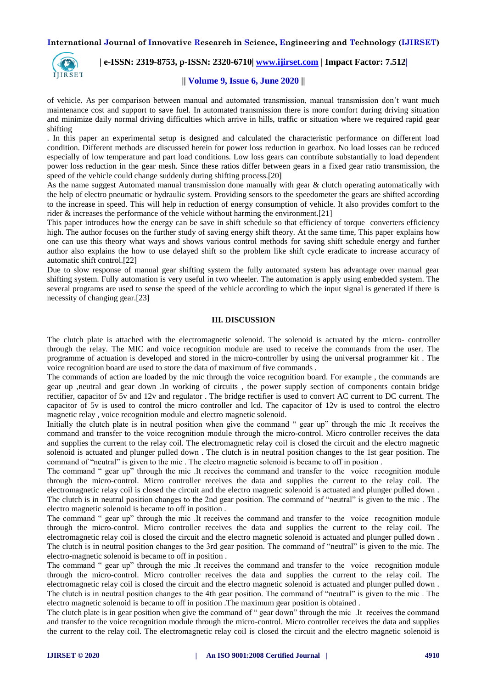

 **| e-ISSN: 2319-8753, p-ISSN: 2320-6710| [www.ijirset.com](http://www.ijirset.com/) | Impact Factor: 7.512|**

#### **|| Volume 9, Issue 6, June 2020 ||**

of vehicle. As per comparison between manual and automated transmission, manual transmission don't want much maintenance cost and support to save fuel. In automated transmission there is more comfort during driving situation and minimize daily normal driving difficulties which arrive in hills, traffic or situation where we required rapid gear shifting

. In this paper an experimental setup is designed and calculated the characteristic performance on different load condition. Different methods are discussed herein for power loss reduction in gearbox. No load losses can be reduced especially of low temperature and part load conditions. Low loss gears can contribute substantially to load dependent power loss reduction in the gear mesh. Since these ratios differ between gears in a fixed gear ratio transmission, the speed of the vehicle could change suddenly during shifting process.[20]

As the name suggest Automated manual transmission done manually with gear & clutch operating automatically with the help of electro pneumatic or hydraulic system. Providing sensors to the speedometer the gears are shifted according to the increase in speed. This will help in reduction of energy consumption of vehicle. It also provides comfort to the rider & increases the performance of the vehicle without harming the environment.[21]

This paper introduces how the energy can be save in shift schedule so that efficiency of torque converters efficiency high. The author focuses on the further study of saving energy shift theory. At the same time, This paper explains how one can use this theory what ways and shows various control methods for saving shift schedule energy and further author also explains the how to use delayed shift so the problem like shift cycle eradicate to increase accuracy of automatic shift control.[22]

Due to slow response of manual gear shifting system the fully automated system has advantage over manual gear shifting system. Fully automation is very useful in two wheeler. The automation is apply using embedded system. The several programs are used to sense the speed of the vehicle according to which the input signal is generated if there is necessity of changing gear.[23]

# **III. DISCUSSION**

The clutch plate is attached with the electromagnetic solenoid. The solenoid is actuated by the micro- controller through the relay. The MIC and voice recognition module are used to receive the commands from the user. The programme of actuation is developed and stored in the micro-controller by using the universal programmer kit . The voice recognition board are used to store the data of maximum of five commands .

The commands of action are loaded by the mic through the voice recognition board. For example , the commands are gear up ,neutral and gear down .In working of circuits , the power supply section of components contain bridge rectifier, capacitor of 5v and 12v and regulator . The bridge rectifier is used to convert AC current to DC current. The capacitor of 5v is used to control the micro controller and lcd. The capacitor of 12v is used to control the electro magnetic relay , voice recognition module and electro magnetic solenoid.

Initially the clutch plate is in neutral position when give the command " gear up" through the mic .It receives the command and transfer to the voice recognition module through the micro-control. Micro controller receives the data and supplies the current to the relay coil. The electromagnetic relay coil is closed the circuit and the electro magnetic solenoid is actuated and plunger pulled down . The clutch is in neutral position changes to the 1st gear position. The command of "neutral" is given to the mic . The electro magnetic solenoid is became to off in position .

The command " gear up" through the mic .It receives the command and transfer to the voice recognition module through the micro-control. Micro controller receives the data and supplies the current to the relay coil. The electromagnetic relay coil is closed the circuit and the electro magnetic solenoid is actuated and plunger pulled down . The clutch is in neutral position changes to the 2nd gear position. The command of "neutral" is given to the mic . The electro magnetic solenoid is became to off in position .

The command " gear up" through the mic .It receives the command and transfer to the voice recognition module through the micro-control. Micro controller receives the data and supplies the current to the relay coil. The electromagnetic relay coil is closed the circuit and the electro magnetic solenoid is actuated and plunger pulled down . The clutch is in neutral position changes to the 3rd gear position. The command of "neutral" is given to the mic. The electro-magnetic solenoid is became to off in position .

The command " gear up" through the mic .It receives the command and transfer to the voice recognition module through the micro-control. Micro controller receives the data and supplies the current to the relay coil. The electromagnetic relay coil is closed the circuit and the electro magnetic solenoid is actuated and plunger pulled down . The clutch is in neutral position changes to the 4th gear position. The command of "neutral" is given to the mic . The electro magnetic solenoid is became to off in position .The maximum gear position is obtained .

The clutch plate is in gear position when give the command of " gear down" through the mic .It receives the command and transfer to the voice recognition module through the micro-control. Micro controller receives the data and supplies the current to the relay coil. The electromagnetic relay coil is closed the circuit and the electro magnetic solenoid is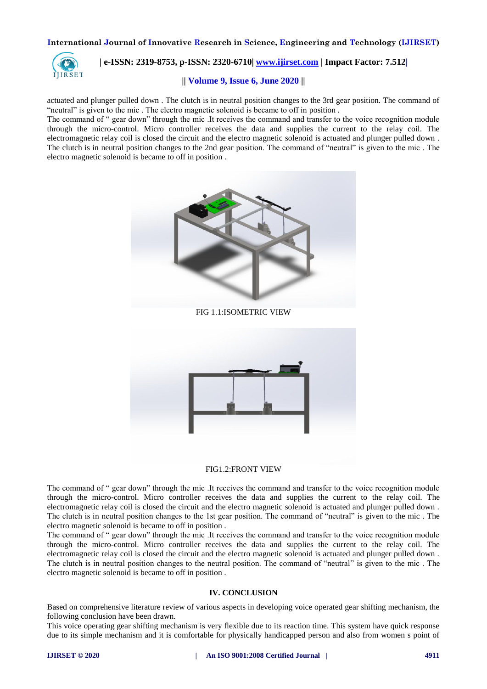

# **| e-ISSN: 2319-8753, p-ISSN: 2320-6710| [www.ijirset.com](http://www.ijirset.com/) | Impact Factor: 7.512|**

#### **|| Volume 9, Issue 6, June 2020 ||**

actuated and plunger pulled down . The clutch is in neutral position changes to the 3rd gear position. The command of "neutral" is given to the mic . The electro magnetic solenoid is became to off in position .

The command of " gear down" through the mic .It receives the command and transfer to the voice recognition module through the micro-control. Micro controller receives the data and supplies the current to the relay coil. The electromagnetic relay coil is closed the circuit and the electro magnetic solenoid is actuated and plunger pulled down . The clutch is in neutral position changes to the 2nd gear position. The command of "neutral" is given to the mic . The electro magnetic solenoid is became to off in position .





# FIG1.2:FRONT VIEW

The command of " gear down" through the mic .It receives the command and transfer to the voice recognition module through the micro-control. Micro controller receives the data and supplies the current to the relay coil. The electromagnetic relay coil is closed the circuit and the electro magnetic solenoid is actuated and plunger pulled down . The clutch is in neutral position changes to the 1st gear position. The command of "neutral" is given to the mic . The electro magnetic solenoid is became to off in position .

The command of " gear down" through the mic .It receives the command and transfer to the voice recognition module through the micro-control. Micro controller receives the data and supplies the current to the relay coil. The electromagnetic relay coil is closed the circuit and the electro magnetic solenoid is actuated and plunger pulled down . The clutch is in neutral position changes to the neutral position. The command of "neutral" is given to the mic . The electro magnetic solenoid is became to off in position .

#### **IV. CONCLUSION**

Based on comprehensive literature review of various aspects in developing voice operated gear shifting mechanism, the following conclusion have been drawn.

This voice operating gear shifting mechanism is very flexible due to its reaction time. This system have quick response due to its simple mechanism and it is comfortable for physically handicapped person and also from women s point of